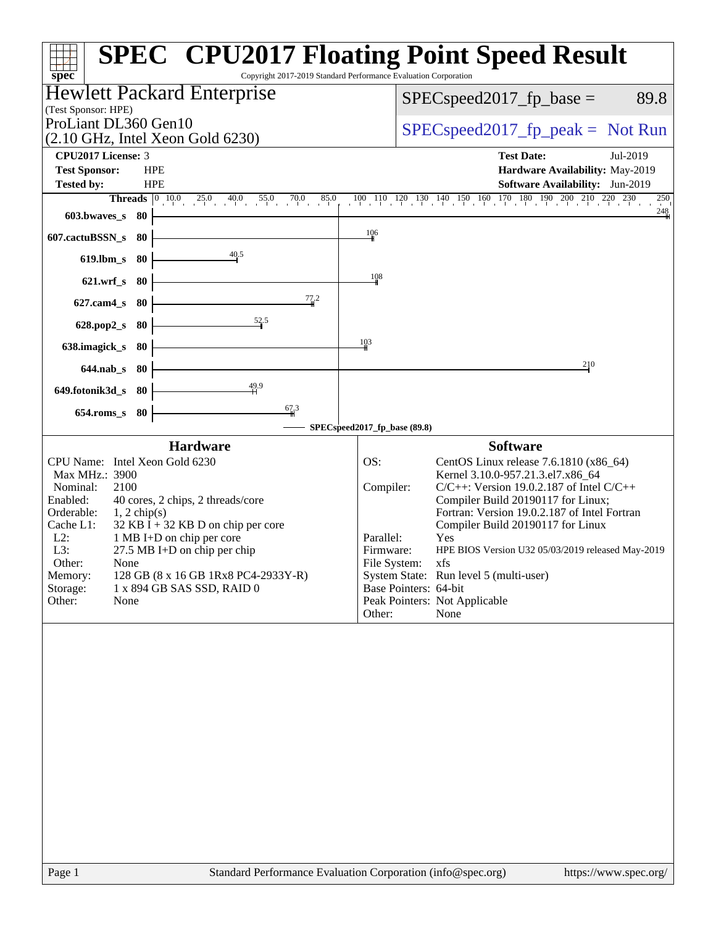|                                                  | Hewlett Packard Enterprise                                                                                       |                               | $SPEC speed2017_fp\_base =$                                                                                                | 89.8                  |
|--------------------------------------------------|------------------------------------------------------------------------------------------------------------------|-------------------------------|----------------------------------------------------------------------------------------------------------------------------|-----------------------|
| (Test Sponsor: HPE)<br>ProLiant DL360 Gen10      |                                                                                                                  |                               | $SPEC speed2017fr peak = Not Run$                                                                                          |                       |
|                                                  | $(2.10 \text{ GHz}, \text{Intel Xeon Gold } 6230)$                                                               |                               |                                                                                                                            |                       |
| CPU2017 License: 3                               |                                                                                                                  |                               | <b>Test Date:</b>                                                                                                          | Jul-2019              |
| <b>Test Sponsor:</b><br>Tested by:               | <b>HPE</b><br><b>HPE</b>                                                                                         |                               | Hardware Availability: May-2019<br><b>Software Availability:</b> Jun-2019                                                  |                       |
|                                                  | <b>Threads</b> $\begin{vmatrix} 0 & 10 & 0 \\ 0 & 25 & 40 \\ 0 & 0 & 0 \end{vmatrix}$<br>$55.0$ $70.0$ 8<br>85.0 |                               | $100\quad 110\quad 120\quad 130\quad 140\quad 150\quad 160\quad 170\quad 180\quad 190\quad 200\quad 210\quad 220\quad 230$ | 250                   |
| 603.bwaves_s 80                                  |                                                                                                                  |                               |                                                                                                                            | 248                   |
| 607.cactuBSSN_s<br>-80                           |                                                                                                                  | 106                           |                                                                                                                            |                       |
| 619.lbm_s<br>-80                                 | 40.5                                                                                                             |                               |                                                                                                                            |                       |
| $621.wrf$ <sub>S</sub><br>- 80                   |                                                                                                                  | 108                           |                                                                                                                            |                       |
| 80<br>$627$ .cam $4$ <sub>S</sub>                | 77.2                                                                                                             |                               |                                                                                                                            |                       |
|                                                  | $\frac{52.5}{4}$                                                                                                 |                               |                                                                                                                            |                       |
| -80<br>$628.pop2_s$                              |                                                                                                                  |                               |                                                                                                                            |                       |
| 638.imagick_s<br>-80                             |                                                                                                                  | 10 <sub>3</sub>               |                                                                                                                            |                       |
| $644$ .nab s<br>- 80                             |                                                                                                                  |                               | 210                                                                                                                        |                       |
| 649.fotonik3d_s 80                               | 49.9                                                                                                             |                               |                                                                                                                            |                       |
| $654$ .roms_s<br>80                              | $\frac{67}{4}3$                                                                                                  |                               |                                                                                                                            |                       |
|                                                  |                                                                                                                  | SPECspeed2017_fp_base (89.8)  |                                                                                                                            |                       |
|                                                  | <b>Hardware</b>                                                                                                  |                               | <b>Software</b>                                                                                                            |                       |
| CPU Name: Intel Xeon Gold 6230<br>Max MHz.: 3900 |                                                                                                                  | OS:                           | CentOS Linux release 7.6.1810 (x86_64)<br>Kernel 3.10.0-957.21.3.el7.x86 64                                                |                       |
| 2100<br>Nominal:                                 |                                                                                                                  | Compiler:                     | $C/C++$ : Version 19.0.2.187 of Intel $C/C++$                                                                              |                       |
| Enabled:<br>Orderable:<br>$1, 2$ chip(s)         | 40 cores, 2 chips, 2 threads/core                                                                                |                               | Compiler Build 20190117 for Linux;<br>Fortran: Version 19.0.2.187 of Intel Fortran                                         |                       |
| Cache L1:                                        | $32$ KB I + 32 KB D on chip per core                                                                             |                               | Compiler Build 20190117 for Linux                                                                                          |                       |
| $L2$ :<br>L3:                                    | 1 MB I+D on chip per core<br>$27.5$ MB I+D on chip per chip                                                      | Parallel:<br>Firmware:        | Yes<br>HPE BIOS Version U32 05/03/2019 released May-2019                                                                   |                       |
| Other:<br>None                                   |                                                                                                                  | File System:                  | xfs                                                                                                                        |                       |
| Memory:<br>Storage:                              | 128 GB (8 x 16 GB 1Rx8 PC4-2933Y-R)<br>1 x 894 GB SAS SSD, RAID 0                                                | Base Pointers: 64-bit         | System State: Run level 5 (multi-user)                                                                                     |                       |
| Other:<br>None                                   |                                                                                                                  | Peak Pointers: Not Applicable |                                                                                                                            |                       |
|                                                  |                                                                                                                  | Other:                        | None                                                                                                                       |                       |
|                                                  |                                                                                                                  |                               |                                                                                                                            |                       |
| Page 1                                           | Standard Performance Evaluation Corporation (info@spec.org)                                                      |                               |                                                                                                                            | https://www.spec.org/ |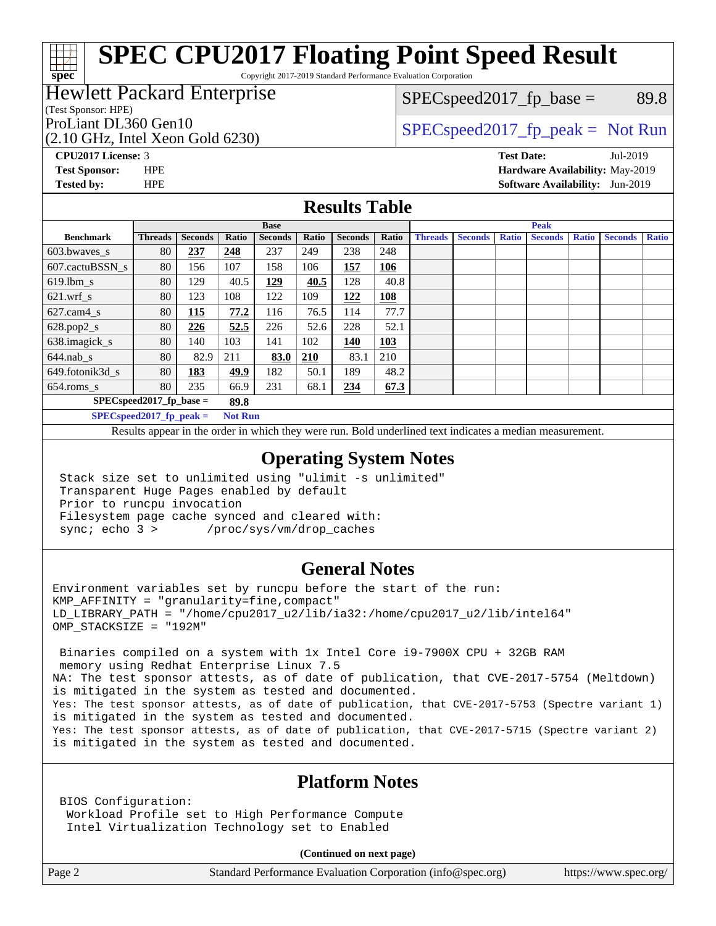Copyright 2017-2019 Standard Performance Evaluation Corporation

### Hewlett Packard Enterprise

(Test Sponsor: HPE)

**[spec](http://www.spec.org/)**

(2.10 GHz, Intel Xeon Gold 6230)

 $SPEC speed2017_fp\_base = 89.8$ 

### ProLiant DL360 Gen10  $SPEC speed2017$  fp\_peak = Not Run

**[CPU2017 License:](http://www.spec.org/auto/cpu2017/Docs/result-fields.html#CPU2017License)** 3 **[Test Date:](http://www.spec.org/auto/cpu2017/Docs/result-fields.html#TestDate)** Jul-2019 **[Test Sponsor:](http://www.spec.org/auto/cpu2017/Docs/result-fields.html#TestSponsor)** HPE **[Hardware Availability:](http://www.spec.org/auto/cpu2017/Docs/result-fields.html#HardwareAvailability)** May-2019 **[Tested by:](http://www.spec.org/auto/cpu2017/Docs/result-fields.html#Testedby)** HPE **[Software Availability:](http://www.spec.org/auto/cpu2017/Docs/result-fields.html#SoftwareAvailability)** Jun-2019

### **[Results Table](http://www.spec.org/auto/cpu2017/Docs/result-fields.html#ResultsTable)**

|                                    | <b>Base</b>                                  |                |       |                | <b>Peak</b> |                |            |                |                |              |                |              |                |              |
|------------------------------------|----------------------------------------------|----------------|-------|----------------|-------------|----------------|------------|----------------|----------------|--------------|----------------|--------------|----------------|--------------|
| <b>Benchmark</b>                   | <b>Threads</b>                               | <b>Seconds</b> | Ratio | <b>Seconds</b> | Ratio       | <b>Seconds</b> | Ratio      | <b>Threads</b> | <b>Seconds</b> | <b>Ratio</b> | <b>Seconds</b> | <b>Ratio</b> | <b>Seconds</b> | <b>Ratio</b> |
| $603.bwaves$ s                     | 80                                           | 237            | 248   | 237            | 249         | 238            | 248        |                |                |              |                |              |                |              |
| 607.cactuBSSN s                    | 80                                           | 156            | 107   | 158            | 106         | <b>157</b>     | <u>106</u> |                |                |              |                |              |                |              |
| $619.$ lbm s                       | 80                                           | 129            | 40.5  | 129            | 40.5        | 128            | 40.8       |                |                |              |                |              |                |              |
| $621.wrf$ s                        | 80                                           | 123            | 108   | 122            | 109         | 122            | 108        |                |                |              |                |              |                |              |
| $627$ .cam $4 \text{ s}$           | 80                                           | 115            | 77.2  | 116            | 76.5        | 114            | 77.7       |                |                |              |                |              |                |              |
| $628.pop2_s$                       | 80                                           | 226            | 52.5  | 226            | 52.6        | 228            | 52.1       |                |                |              |                |              |                |              |
| 638.imagick_s                      | 80                                           | 140            | 103   | 141            | 102         | 140            | 103        |                |                |              |                |              |                |              |
| $644$ .nab s                       | 80                                           | 82.9           | 211   | 83.0           | 210         | 83.1           | 210        |                |                |              |                |              |                |              |
| 649.fotonik3d s                    | 80                                           | <u>183</u>     | 49.9  | 182            | 50.1        | 189            | 48.2       |                |                |              |                |              |                |              |
| $654$ .roms_s                      | 80                                           | 235            | 66.9  | 231            | 68.1        | 234            | 67.3       |                |                |              |                |              |                |              |
| $SPEC speed2017$ fp base =<br>89.8 |                                              |                |       |                |             |                |            |                |                |              |                |              |                |              |
|                                    | $SPECspeed2017_fp\_peak =$<br><b>Not Run</b> |                |       |                |             |                |            |                |                |              |                |              |                |              |

Results appear in the [order in which they were run.](http://www.spec.org/auto/cpu2017/Docs/result-fields.html#RunOrder) Bold underlined text [indicates a median measurement](http://www.spec.org/auto/cpu2017/Docs/result-fields.html#Median).

### **[Operating System Notes](http://www.spec.org/auto/cpu2017/Docs/result-fields.html#OperatingSystemNotes)**

 Stack size set to unlimited using "ulimit -s unlimited" Transparent Huge Pages enabled by default Prior to runcpu invocation Filesystem page cache synced and cleared with: sync; echo 3 > /proc/sys/vm/drop\_caches

### **[General Notes](http://www.spec.org/auto/cpu2017/Docs/result-fields.html#GeneralNotes)**

Environment variables set by runcpu before the start of the run:  $KMP$  AFFINITY = "granularity=fine, compact" LD\_LIBRARY\_PATH = "/home/cpu2017\_u2/lib/ia32:/home/cpu2017\_u2/lib/intel64" OMP\_STACKSIZE = "192M"

 Binaries compiled on a system with 1x Intel Core i9-7900X CPU + 32GB RAM memory using Redhat Enterprise Linux 7.5 NA: The test sponsor attests, as of date of publication, that CVE-2017-5754 (Meltdown) is mitigated in the system as tested and documented. Yes: The test sponsor attests, as of date of publication, that CVE-2017-5753 (Spectre variant 1) is mitigated in the system as tested and documented. Yes: The test sponsor attests, as of date of publication, that CVE-2017-5715 (Spectre variant 2) is mitigated in the system as tested and documented.

### **[Platform Notes](http://www.spec.org/auto/cpu2017/Docs/result-fields.html#PlatformNotes)**

 BIOS Configuration: Workload Profile set to High Performance Compute Intel Virtualization Technology set to Enabled

**(Continued on next page)**

Page 2 Standard Performance Evaluation Corporation [\(info@spec.org\)](mailto:info@spec.org) <https://www.spec.org/>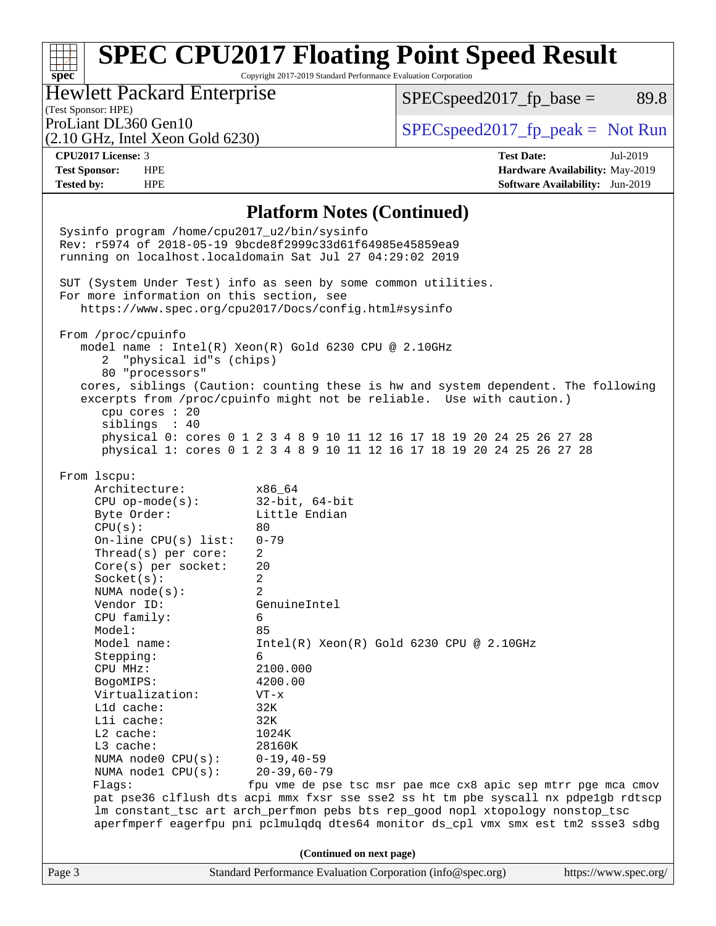Copyright 2017-2019 Standard Performance Evaluation Corporation

### Hewlett Packard Enterprise

 $SPEC speed2017<sub>fp</sub> base = 89.8$ 

### (Test Sponsor: HPE)

(2.10 GHz, Intel Xeon Gold 6230)

ProLiant DL360 Gen10  $SPEC speed2017$  [p\_peak = Not Run

**[spec](http://www.spec.org/)**

**[Tested by:](http://www.spec.org/auto/cpu2017/Docs/result-fields.html#Testedby)** HPE **[Software Availability:](http://www.spec.org/auto/cpu2017/Docs/result-fields.html#SoftwareAvailability)** Jun-2019

**[CPU2017 License:](http://www.spec.org/auto/cpu2017/Docs/result-fields.html#CPU2017License)** 3 **[Test Date:](http://www.spec.org/auto/cpu2017/Docs/result-fields.html#TestDate)** Jul-2019 **[Test Sponsor:](http://www.spec.org/auto/cpu2017/Docs/result-fields.html#TestSponsor)** HPE **[Hardware Availability:](http://www.spec.org/auto/cpu2017/Docs/result-fields.html#HardwareAvailability)** May-2019

#### **[Platform Notes \(Continued\)](http://www.spec.org/auto/cpu2017/Docs/result-fields.html#PlatformNotes)**

Page 3 Standard Performance Evaluation Corporation [\(info@spec.org\)](mailto:info@spec.org) <https://www.spec.org/> Sysinfo program /home/cpu2017\_u2/bin/sysinfo Rev: r5974 of 2018-05-19 9bcde8f2999c33d61f64985e45859ea9 running on localhost.localdomain Sat Jul 27 04:29:02 2019 SUT (System Under Test) info as seen by some common utilities. For more information on this section, see <https://www.spec.org/cpu2017/Docs/config.html#sysinfo> From /proc/cpuinfo model name : Intel(R) Xeon(R) Gold 6230 CPU @ 2.10GHz 2 "physical id"s (chips) 80 "processors" cores, siblings (Caution: counting these is hw and system dependent. The following excerpts from /proc/cpuinfo might not be reliable. Use with caution.) cpu cores : 20 siblings : 40 physical 0: cores 0 1 2 3 4 8 9 10 11 12 16 17 18 19 20 24 25 26 27 28 physical 1: cores 0 1 2 3 4 8 9 10 11 12 16 17 18 19 20 24 25 26 27 28 From lscpu: Architecture: x86\_64 CPU op-mode(s): 32-bit, 64-bit Byte Order: Little Endian  $CPU(s):$  80 On-line CPU(s) list: 0-79 Thread(s) per core: 2 Core(s) per socket: 20 Socket(s): 2 NUMA node(s): 2 Vendor ID: GenuineIntel CPU family: 6 Model: 85 Model name: Intel(R) Xeon(R) Gold 6230 CPU @ 2.10GHz Stepping: 6 CPU MHz: 2100.000 BogoMIPS: 4200.00 Virtualization: VT-x L1d cache: 32K L1i cache: 32K L2 cache: 1024K L3 cache: 28160K NUMA node0 CPU(s): 0-19,40-59 NUMA node1 CPU(s): 20-39,60-79 Flags: fpu vme de pse tsc msr pae mce cx8 apic sep mtrr pge mca cmov pat pse36 clflush dts acpi mmx fxsr sse sse2 ss ht tm pbe syscall nx pdpe1gb rdtscp lm constant\_tsc art arch\_perfmon pebs bts rep\_good nopl xtopology nonstop\_tsc aperfmperf eagerfpu pni pclmulqdq dtes64 monitor ds\_cpl vmx smx est tm2 ssse3 sdbg **(Continued on next page)**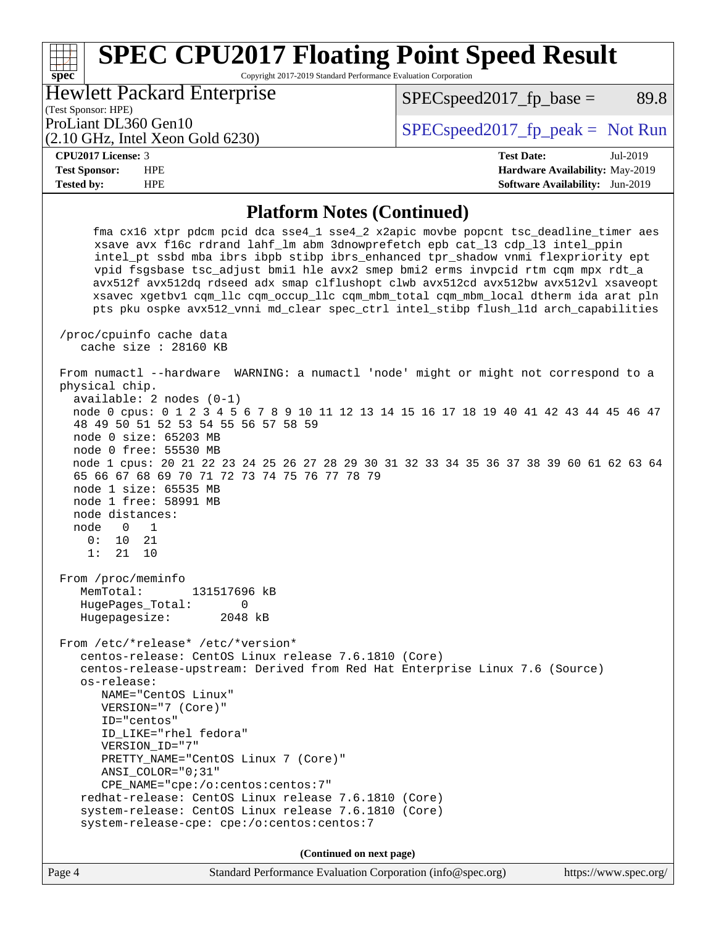Copyright 2017-2019 Standard Performance Evaluation Corporation

Hewlett Packard Enterprise

 $SPEC speed2017<sub>fp</sub> base = 89.8$ 

# (Test Sponsor: HPE)

(2.10 GHz, Intel Xeon Gold 6230)

ProLiant DL360 Gen10  $SPEC speed2017$  fp\_peak = Not Run

#### **[CPU2017 License:](http://www.spec.org/auto/cpu2017/Docs/result-fields.html#CPU2017License)** 3 **[Test Date:](http://www.spec.org/auto/cpu2017/Docs/result-fields.html#TestDate)** Jul-2019

**[spec](http://www.spec.org/)**

**[Test Sponsor:](http://www.spec.org/auto/cpu2017/Docs/result-fields.html#TestSponsor)** HPE **[Hardware Availability:](http://www.spec.org/auto/cpu2017/Docs/result-fields.html#HardwareAvailability)** May-2019 **[Tested by:](http://www.spec.org/auto/cpu2017/Docs/result-fields.html#Testedby)** HPE **[Software Availability:](http://www.spec.org/auto/cpu2017/Docs/result-fields.html#SoftwareAvailability)** Jun-2019

### **[Platform Notes \(Continued\)](http://www.spec.org/auto/cpu2017/Docs/result-fields.html#PlatformNotes)**

 fma cx16 xtpr pdcm pcid dca sse4\_1 sse4\_2 x2apic movbe popcnt tsc\_deadline\_timer aes xsave avx f16c rdrand lahf\_lm abm 3dnowprefetch epb cat\_l3 cdp\_l3 intel\_ppin intel\_pt ssbd mba ibrs ibpb stibp ibrs\_enhanced tpr\_shadow vnmi flexpriority ept vpid fsgsbase tsc\_adjust bmi1 hle avx2 smep bmi2 erms invpcid rtm cqm mpx rdt\_a avx512f avx512dq rdseed adx smap clflushopt clwb avx512cd avx512bw avx512vl xsaveopt xsavec xgetbv1 cqm\_llc cqm\_occup\_llc cqm\_mbm\_total cqm\_mbm\_local dtherm ida arat pln pts pku ospke avx512\_vnni md\_clear spec\_ctrl intel\_stibp flush\_l1d arch\_capabilities /proc/cpuinfo cache data cache size : 28160 KB From numactl --hardware WARNING: a numactl 'node' might or might not correspond to a physical chip. available: 2 nodes (0-1) node 0 cpus: 0 1 2 3 4 5 6 7 8 9 10 11 12 13 14 15 16 17 18 19 40 41 42 43 44 45 46 47 48 49 50 51 52 53 54 55 56 57 58 59 node 0 size: 65203 MB node 0 free: 55530 MB node 1 cpus: 20 21 22 23 24 25 26 27 28 29 30 31 32 33 34 35 36 37 38 39 60 61 62 63 64 65 66 67 68 69 70 71 72 73 74 75 76 77 78 79 node 1 size: 65535 MB node 1 free: 58991 MB node distances: node 0 1 0: 10 21 1: 21 10 From /proc/meminfo MemTotal: 131517696 kB HugePages\_Total: 0<br>Hugepagesize: 2048 kB Hugepagesize: From /etc/\*release\* /etc/\*version\* centos-release: CentOS Linux release 7.6.1810 (Core) centos-release-upstream: Derived from Red Hat Enterprise Linux 7.6 (Source) os-release: NAME="CentOS Linux" VERSION="7 (Core)" ID="centos" ID\_LIKE="rhel fedora" VERSION\_ID="7" PRETTY\_NAME="CentOS Linux 7 (Core)" ANSI\_COLOR="0;31" CPE\_NAME="cpe:/o:centos:centos:7" redhat-release: CentOS Linux release 7.6.1810 (Core) system-release: CentOS Linux release 7.6.1810 (Core) system-release-cpe: cpe:/o:centos:centos:7 **(Continued on next page)**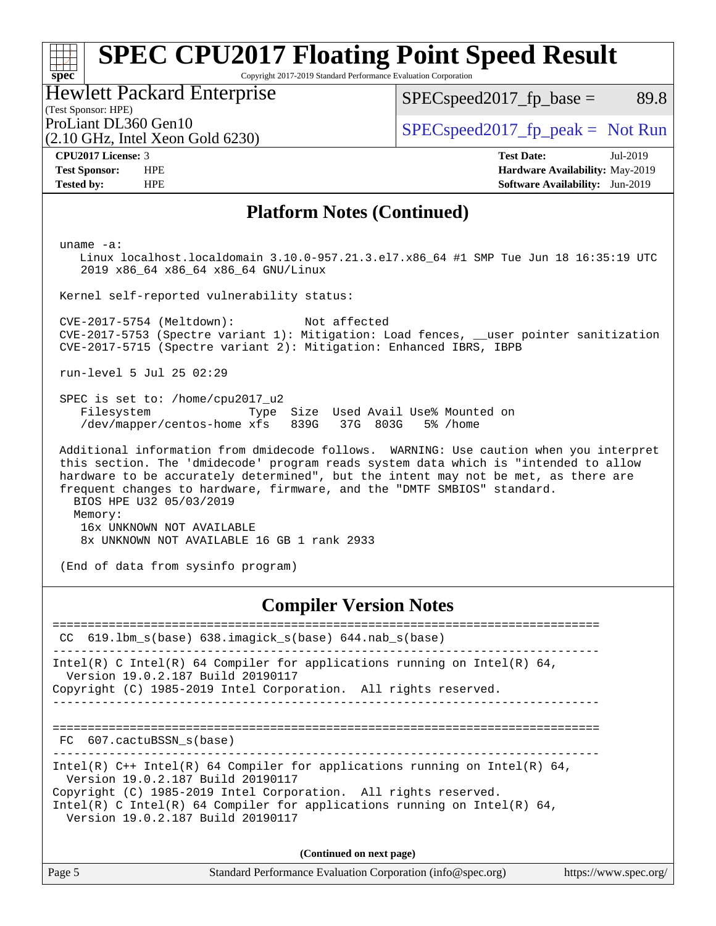Copyright 2017-2019 Standard Performance Evaluation Corporation

#### Hewlett Packard Enterprise

 $SPEC speed2017_fp\_base = 89.8$ 

# (Test Sponsor: HPE)

(2.10 GHz, Intel Xeon Gold 6230)

ProLiant DL360 Gen10  $SPEC speed2017_f$   $p\_peak = Not Run$ 

**[spec](http://www.spec.org/)**

**[CPU2017 License:](http://www.spec.org/auto/cpu2017/Docs/result-fields.html#CPU2017License)** 3 **[Test Date:](http://www.spec.org/auto/cpu2017/Docs/result-fields.html#TestDate)** Jul-2019 **[Test Sponsor:](http://www.spec.org/auto/cpu2017/Docs/result-fields.html#TestSponsor)** HPE **[Hardware Availability:](http://www.spec.org/auto/cpu2017/Docs/result-fields.html#HardwareAvailability)** May-2019 **[Tested by:](http://www.spec.org/auto/cpu2017/Docs/result-fields.html#Testedby)** HPE **[Software Availability:](http://www.spec.org/auto/cpu2017/Docs/result-fields.html#SoftwareAvailability)** Jun-2019

### **[Platform Notes \(Continued\)](http://www.spec.org/auto/cpu2017/Docs/result-fields.html#PlatformNotes)**

uname -a:

 Linux localhost.localdomain 3.10.0-957.21.3.el7.x86\_64 #1 SMP Tue Jun 18 16:35:19 UTC 2019 x86\_64 x86\_64 x86\_64 GNU/Linux

Kernel self-reported vulnerability status:

 CVE-2017-5754 (Meltdown): Not affected CVE-2017-5753 (Spectre variant 1): Mitigation: Load fences, \_\_user pointer sanitization CVE-2017-5715 (Spectre variant 2): Mitigation: Enhanced IBRS, IBPB

run-level 5 Jul 25 02:29

 SPEC is set to: /home/cpu2017\_u2 Filesystem Type Size Used Avail Use% Mounted on /dev/mapper/centos-home xfs 839G 37G 803G 5% /home

 Additional information from dmidecode follows. WARNING: Use caution when you interpret this section. The 'dmidecode' program reads system data which is "intended to allow hardware to be accurately determined", but the intent may not be met, as there are frequent changes to hardware, firmware, and the "DMTF SMBIOS" standard. BIOS HPE U32 05/03/2019 Memory: 16x UNKNOWN NOT AVAILABLE 8x UNKNOWN NOT AVAILABLE 16 GB 1 rank 2933

(End of data from sysinfo program)

**[Compiler Version Notes](http://www.spec.org/auto/cpu2017/Docs/result-fields.html#CompilerVersionNotes)**

============================================================================== CC 619.lbm\_s(base) 638.imagick\_s(base) 644.nab\_s(base) ------------------------------------------------------------------------------ Intel(R) C Intel(R) 64 Compiler for applications running on Intel(R)  $64$ , Version 19.0.2.187 Build 20190117 Copyright (C) 1985-2019 Intel Corporation. All rights reserved. ------------------------------------------------------------------------------ ============================================================================== FC 607.cactuBSSN s(base) ------------------------------------------------------------------------------ Intel(R) C++ Intel(R) 64 Compiler for applications running on Intel(R)  $64$ , Version 19.0.2.187 Build 20190117 Copyright (C) 1985-2019 Intel Corporation. All rights reserved. Intel(R) C Intel(R) 64 Compiler for applications running on Intel(R)  $64$ , Version 19.0.2.187 Build 20190117 **(Continued on next page)**

| Page 5 | Standard Performance Evaluation Corporation (info@spec.org) | https://www.spec.org/ |
|--------|-------------------------------------------------------------|-----------------------|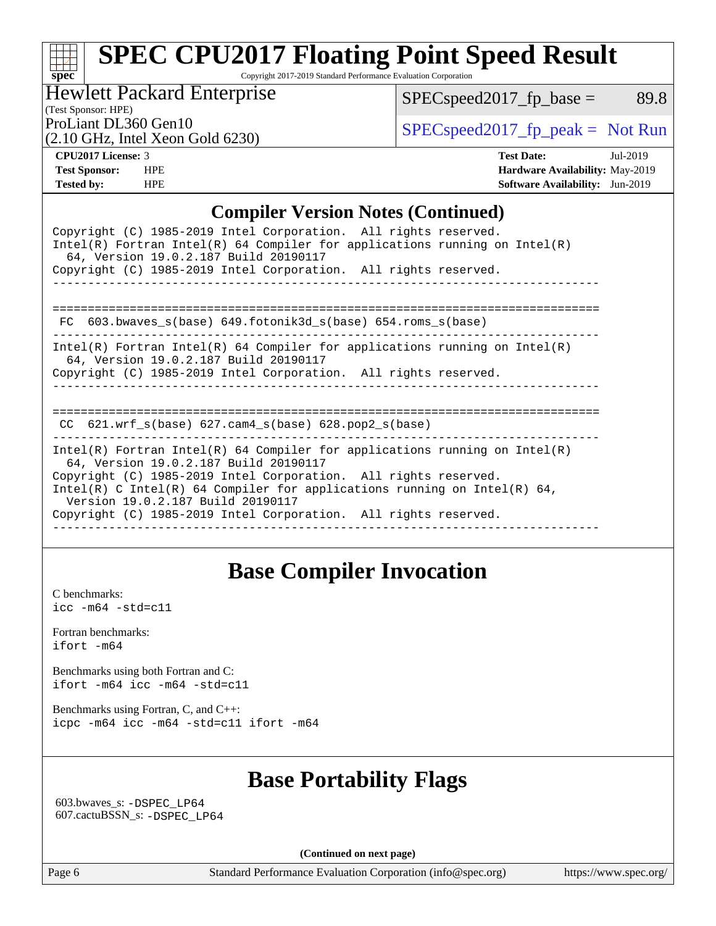Copyright 2017-2019 Standard Performance Evaluation Corporation

Hewlett Packard Enterprise

 $SPEC speed2017_fp\_base = 89.8$ 

(Test Sponsor: HPE)

(2.10 GHz, Intel Xeon Gold 6230)

ProLiant DL360 Gen10<br>  $\begin{array}{r} \text{SPEC speed2017\_fp\_peak = Not Run} \\ \text{SPEC speed2017\_fp\_peak = Not Run} \end{array}$ 

**[spec](http://www.spec.org/)**

**[CPU2017 License:](http://www.spec.org/auto/cpu2017/Docs/result-fields.html#CPU2017License)** 3 **[Test Date:](http://www.spec.org/auto/cpu2017/Docs/result-fields.html#TestDate)** Jul-2019 **[Test Sponsor:](http://www.spec.org/auto/cpu2017/Docs/result-fields.html#TestSponsor)** HPE **[Hardware Availability:](http://www.spec.org/auto/cpu2017/Docs/result-fields.html#HardwareAvailability)** May-2019 **[Tested by:](http://www.spec.org/auto/cpu2017/Docs/result-fields.html#Testedby)** HPE **[Software Availability:](http://www.spec.org/auto/cpu2017/Docs/result-fields.html#SoftwareAvailability)** Jun-2019

### **[Compiler Version Notes \(Continued\)](http://www.spec.org/auto/cpu2017/Docs/result-fields.html#CompilerVersionNotes)**

| Copyright (C) 1985-2019 Intel Corporation. All rights reserved.<br>Intel(R) Fortran Intel(R) 64 Compiler for applications running on Intel(R)<br>64, Version 19.0.2.187 Build 20190117<br>Copyright (C) 1985-2019 Intel Corporation. All rights reserved.                                                                                                                  |
|----------------------------------------------------------------------------------------------------------------------------------------------------------------------------------------------------------------------------------------------------------------------------------------------------------------------------------------------------------------------------|
| ---------------------------------<br>FC $603.bwaves$ s(base) $649.fotonik3d$ s(base) $654.roms$ s(base)                                                                                                                                                                                                                                                                    |
| $Intel(R)$ Fortran Intel(R) 64 Compiler for applications running on Intel(R)<br>64, Version 19.0.2.187 Build 20190117<br>Copyright (C) 1985-2019 Intel Corporation. All rights reserved.                                                                                                                                                                                   |
| $CC$ 621.wrf_s(base) 627.cam4_s(base) 628.pop2_s(base)                                                                                                                                                                                                                                                                                                                     |
| Intel(R) Fortran Intel(R) 64 Compiler for applications running on Intel(R)<br>64, Version 19.0.2.187 Build 20190117<br>Copyright (C) 1985-2019 Intel Corporation. All rights reserved.<br>Intel(R) C Intel(R) 64 Compiler for applications running on Intel(R) 64,<br>Version 19.0.2.187 Build 20190117<br>Copyright (C) 1985-2019 Intel Corporation. All rights reserved. |

### **[Base Compiler Invocation](http://www.spec.org/auto/cpu2017/Docs/result-fields.html#BaseCompilerInvocation)**

[C benchmarks](http://www.spec.org/auto/cpu2017/Docs/result-fields.html#Cbenchmarks): [icc -m64 -std=c11](http://www.spec.org/cpu2017/results/res2019q3/cpu2017-20190805-16575.flags.html#user_CCbase_intel_icc_64bit_c11_33ee0cdaae7deeeab2a9725423ba97205ce30f63b9926c2519791662299b76a0318f32ddfffdc46587804de3178b4f9328c46fa7c2b0cd779d7a61945c91cd35)

[Fortran benchmarks](http://www.spec.org/auto/cpu2017/Docs/result-fields.html#Fortranbenchmarks): [ifort -m64](http://www.spec.org/cpu2017/results/res2019q3/cpu2017-20190805-16575.flags.html#user_FCbase_intel_ifort_64bit_24f2bb282fbaeffd6157abe4f878425411749daecae9a33200eee2bee2fe76f3b89351d69a8130dd5949958ce389cf37ff59a95e7a40d588e8d3a57e0c3fd751)

[Benchmarks using both Fortran and C](http://www.spec.org/auto/cpu2017/Docs/result-fields.html#BenchmarksusingbothFortranandC): [ifort -m64](http://www.spec.org/cpu2017/results/res2019q3/cpu2017-20190805-16575.flags.html#user_CC_FCbase_intel_ifort_64bit_24f2bb282fbaeffd6157abe4f878425411749daecae9a33200eee2bee2fe76f3b89351d69a8130dd5949958ce389cf37ff59a95e7a40d588e8d3a57e0c3fd751) [icc -m64 -std=c11](http://www.spec.org/cpu2017/results/res2019q3/cpu2017-20190805-16575.flags.html#user_CC_FCbase_intel_icc_64bit_c11_33ee0cdaae7deeeab2a9725423ba97205ce30f63b9926c2519791662299b76a0318f32ddfffdc46587804de3178b4f9328c46fa7c2b0cd779d7a61945c91cd35)

[Benchmarks using Fortran, C, and C++:](http://www.spec.org/auto/cpu2017/Docs/result-fields.html#BenchmarksusingFortranCandCXX) [icpc -m64](http://www.spec.org/cpu2017/results/res2019q3/cpu2017-20190805-16575.flags.html#user_CC_CXX_FCbase_intel_icpc_64bit_4ecb2543ae3f1412ef961e0650ca070fec7b7afdcd6ed48761b84423119d1bf6bdf5cad15b44d48e7256388bc77273b966e5eb805aefd121eb22e9299b2ec9d9) [icc -m64 -std=c11](http://www.spec.org/cpu2017/results/res2019q3/cpu2017-20190805-16575.flags.html#user_CC_CXX_FCbase_intel_icc_64bit_c11_33ee0cdaae7deeeab2a9725423ba97205ce30f63b9926c2519791662299b76a0318f32ddfffdc46587804de3178b4f9328c46fa7c2b0cd779d7a61945c91cd35) [ifort -m64](http://www.spec.org/cpu2017/results/res2019q3/cpu2017-20190805-16575.flags.html#user_CC_CXX_FCbase_intel_ifort_64bit_24f2bb282fbaeffd6157abe4f878425411749daecae9a33200eee2bee2fe76f3b89351d69a8130dd5949958ce389cf37ff59a95e7a40d588e8d3a57e0c3fd751)

## **[Base Portability Flags](http://www.spec.org/auto/cpu2017/Docs/result-fields.html#BasePortabilityFlags)**

 603.bwaves\_s: [-DSPEC\\_LP64](http://www.spec.org/cpu2017/results/res2019q3/cpu2017-20190805-16575.flags.html#suite_basePORTABILITY603_bwaves_s_DSPEC_LP64) 607.cactuBSSN\_s: [-DSPEC\\_LP64](http://www.spec.org/cpu2017/results/res2019q3/cpu2017-20190805-16575.flags.html#suite_basePORTABILITY607_cactuBSSN_s_DSPEC_LP64)

**(Continued on next page)**

Page 6 Standard Performance Evaluation Corporation [\(info@spec.org\)](mailto:info@spec.org) <https://www.spec.org/>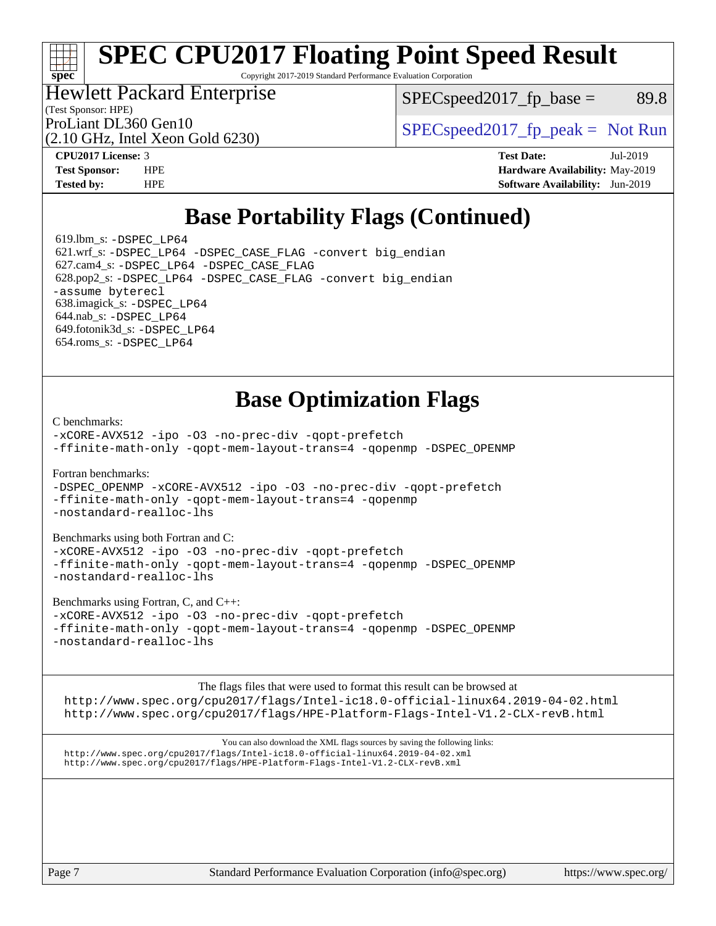Copyright 2017-2019 Standard Performance Evaluation Corporation

### Hewlett Packard Enterprise

 $SPEC speed2017<sub>fp</sub> base = 89.8$ 

(Test Sponsor: HPE)

(2.10 GHz, Intel Xeon Gold 6230)

ProLiant DL360 Gen10  $SPEC speed2017$  [p\_peak = Not Run

**[spec](http://www.spec.org/)**

**[CPU2017 License:](http://www.spec.org/auto/cpu2017/Docs/result-fields.html#CPU2017License)** 3 **[Test Date:](http://www.spec.org/auto/cpu2017/Docs/result-fields.html#TestDate)** Jul-2019 **[Test Sponsor:](http://www.spec.org/auto/cpu2017/Docs/result-fields.html#TestSponsor)** HPE **[Hardware Availability:](http://www.spec.org/auto/cpu2017/Docs/result-fields.html#HardwareAvailability)** May-2019 **[Tested by:](http://www.spec.org/auto/cpu2017/Docs/result-fields.html#Testedby)** HPE **[Software Availability:](http://www.spec.org/auto/cpu2017/Docs/result-fields.html#SoftwareAvailability)** Jun-2019

## **[Base Portability Flags \(Continued\)](http://www.spec.org/auto/cpu2017/Docs/result-fields.html#BasePortabilityFlags)**

 619.lbm\_s: [-DSPEC\\_LP64](http://www.spec.org/cpu2017/results/res2019q3/cpu2017-20190805-16575.flags.html#suite_basePORTABILITY619_lbm_s_DSPEC_LP64) 621.wrf\_s: [-DSPEC\\_LP64](http://www.spec.org/cpu2017/results/res2019q3/cpu2017-20190805-16575.flags.html#suite_basePORTABILITY621_wrf_s_DSPEC_LP64) [-DSPEC\\_CASE\\_FLAG](http://www.spec.org/cpu2017/results/res2019q3/cpu2017-20190805-16575.flags.html#b621.wrf_s_baseCPORTABILITY_DSPEC_CASE_FLAG) [-convert big\\_endian](http://www.spec.org/cpu2017/results/res2019q3/cpu2017-20190805-16575.flags.html#user_baseFPORTABILITY621_wrf_s_convert_big_endian_c3194028bc08c63ac5d04de18c48ce6d347e4e562e8892b8bdbdc0214820426deb8554edfa529a3fb25a586e65a3d812c835984020483e7e73212c4d31a38223) 627.cam4\_s: [-DSPEC\\_LP64](http://www.spec.org/cpu2017/results/res2019q3/cpu2017-20190805-16575.flags.html#suite_basePORTABILITY627_cam4_s_DSPEC_LP64) [-DSPEC\\_CASE\\_FLAG](http://www.spec.org/cpu2017/results/res2019q3/cpu2017-20190805-16575.flags.html#b627.cam4_s_baseCPORTABILITY_DSPEC_CASE_FLAG) 628.pop2\_s: [-DSPEC\\_LP64](http://www.spec.org/cpu2017/results/res2019q3/cpu2017-20190805-16575.flags.html#suite_basePORTABILITY628_pop2_s_DSPEC_LP64) [-DSPEC\\_CASE\\_FLAG](http://www.spec.org/cpu2017/results/res2019q3/cpu2017-20190805-16575.flags.html#b628.pop2_s_baseCPORTABILITY_DSPEC_CASE_FLAG) [-convert big\\_endian](http://www.spec.org/cpu2017/results/res2019q3/cpu2017-20190805-16575.flags.html#user_baseFPORTABILITY628_pop2_s_convert_big_endian_c3194028bc08c63ac5d04de18c48ce6d347e4e562e8892b8bdbdc0214820426deb8554edfa529a3fb25a586e65a3d812c835984020483e7e73212c4d31a38223) [-assume byterecl](http://www.spec.org/cpu2017/results/res2019q3/cpu2017-20190805-16575.flags.html#user_baseFPORTABILITY628_pop2_s_assume_byterecl_7e47d18b9513cf18525430bbf0f2177aa9bf368bc7a059c09b2c06a34b53bd3447c950d3f8d6c70e3faf3a05c8557d66a5798b567902e8849adc142926523472) 638.imagick\_s: [-DSPEC\\_LP64](http://www.spec.org/cpu2017/results/res2019q3/cpu2017-20190805-16575.flags.html#suite_basePORTABILITY638_imagick_s_DSPEC_LP64) 644.nab\_s: [-DSPEC\\_LP64](http://www.spec.org/cpu2017/results/res2019q3/cpu2017-20190805-16575.flags.html#suite_basePORTABILITY644_nab_s_DSPEC_LP64) 649.fotonik3d\_s: [-DSPEC\\_LP64](http://www.spec.org/cpu2017/results/res2019q3/cpu2017-20190805-16575.flags.html#suite_basePORTABILITY649_fotonik3d_s_DSPEC_LP64) 654.roms\_s: [-DSPEC\\_LP64](http://www.spec.org/cpu2017/results/res2019q3/cpu2017-20190805-16575.flags.html#suite_basePORTABILITY654_roms_s_DSPEC_LP64)

## **[Base Optimization Flags](http://www.spec.org/auto/cpu2017/Docs/result-fields.html#BaseOptimizationFlags)**

[C benchmarks](http://www.spec.org/auto/cpu2017/Docs/result-fields.html#Cbenchmarks):

[-xCORE-AVX512](http://www.spec.org/cpu2017/results/res2019q3/cpu2017-20190805-16575.flags.html#user_CCbase_f-xCORE-AVX512) [-ipo](http://www.spec.org/cpu2017/results/res2019q3/cpu2017-20190805-16575.flags.html#user_CCbase_f-ipo) [-O3](http://www.spec.org/cpu2017/results/res2019q3/cpu2017-20190805-16575.flags.html#user_CCbase_f-O3) [-no-prec-div](http://www.spec.org/cpu2017/results/res2019q3/cpu2017-20190805-16575.flags.html#user_CCbase_f-no-prec-div) [-qopt-prefetch](http://www.spec.org/cpu2017/results/res2019q3/cpu2017-20190805-16575.flags.html#user_CCbase_f-qopt-prefetch) [-ffinite-math-only](http://www.spec.org/cpu2017/results/res2019q3/cpu2017-20190805-16575.flags.html#user_CCbase_f_finite_math_only_cb91587bd2077682c4b38af759c288ed7c732db004271a9512da14a4f8007909a5f1427ecbf1a0fb78ff2a814402c6114ac565ca162485bbcae155b5e4258871) [-qopt-mem-layout-trans=4](http://www.spec.org/cpu2017/results/res2019q3/cpu2017-20190805-16575.flags.html#user_CCbase_f-qopt-mem-layout-trans_fa39e755916c150a61361b7846f310bcdf6f04e385ef281cadf3647acec3f0ae266d1a1d22d972a7087a248fd4e6ca390a3634700869573d231a252c784941a8) [-qopenmp](http://www.spec.org/cpu2017/results/res2019q3/cpu2017-20190805-16575.flags.html#user_CCbase_qopenmp_16be0c44f24f464004c6784a7acb94aca937f053568ce72f94b139a11c7c168634a55f6653758ddd83bcf7b8463e8028bb0b48b77bcddc6b78d5d95bb1df2967) [-DSPEC\\_OPENMP](http://www.spec.org/cpu2017/results/res2019q3/cpu2017-20190805-16575.flags.html#suite_CCbase_DSPEC_OPENMP)

[Fortran benchmarks](http://www.spec.org/auto/cpu2017/Docs/result-fields.html#Fortranbenchmarks):

[-DSPEC\\_OPENMP](http://www.spec.org/cpu2017/results/res2019q3/cpu2017-20190805-16575.flags.html#suite_FCbase_DSPEC_OPENMP) [-xCORE-AVX512](http://www.spec.org/cpu2017/results/res2019q3/cpu2017-20190805-16575.flags.html#user_FCbase_f-xCORE-AVX512) [-ipo](http://www.spec.org/cpu2017/results/res2019q3/cpu2017-20190805-16575.flags.html#user_FCbase_f-ipo) [-O3](http://www.spec.org/cpu2017/results/res2019q3/cpu2017-20190805-16575.flags.html#user_FCbase_f-O3) [-no-prec-div](http://www.spec.org/cpu2017/results/res2019q3/cpu2017-20190805-16575.flags.html#user_FCbase_f-no-prec-div) [-qopt-prefetch](http://www.spec.org/cpu2017/results/res2019q3/cpu2017-20190805-16575.flags.html#user_FCbase_f-qopt-prefetch) [-ffinite-math-only](http://www.spec.org/cpu2017/results/res2019q3/cpu2017-20190805-16575.flags.html#user_FCbase_f_finite_math_only_cb91587bd2077682c4b38af759c288ed7c732db004271a9512da14a4f8007909a5f1427ecbf1a0fb78ff2a814402c6114ac565ca162485bbcae155b5e4258871) [-qopt-mem-layout-trans=4](http://www.spec.org/cpu2017/results/res2019q3/cpu2017-20190805-16575.flags.html#user_FCbase_f-qopt-mem-layout-trans_fa39e755916c150a61361b7846f310bcdf6f04e385ef281cadf3647acec3f0ae266d1a1d22d972a7087a248fd4e6ca390a3634700869573d231a252c784941a8) [-qopenmp](http://www.spec.org/cpu2017/results/res2019q3/cpu2017-20190805-16575.flags.html#user_FCbase_qopenmp_16be0c44f24f464004c6784a7acb94aca937f053568ce72f94b139a11c7c168634a55f6653758ddd83bcf7b8463e8028bb0b48b77bcddc6b78d5d95bb1df2967) [-nostandard-realloc-lhs](http://www.spec.org/cpu2017/results/res2019q3/cpu2017-20190805-16575.flags.html#user_FCbase_f_2003_std_realloc_82b4557e90729c0f113870c07e44d33d6f5a304b4f63d4c15d2d0f1fab99f5daaed73bdb9275d9ae411527f28b936061aa8b9c8f2d63842963b95c9dd6426b8a)

[Benchmarks using both Fortran and C](http://www.spec.org/auto/cpu2017/Docs/result-fields.html#BenchmarksusingbothFortranandC):

[-xCORE-AVX512](http://www.spec.org/cpu2017/results/res2019q3/cpu2017-20190805-16575.flags.html#user_CC_FCbase_f-xCORE-AVX512) [-ipo](http://www.spec.org/cpu2017/results/res2019q3/cpu2017-20190805-16575.flags.html#user_CC_FCbase_f-ipo) -03 [-no-prec-div](http://www.spec.org/cpu2017/results/res2019q3/cpu2017-20190805-16575.flags.html#user_CC_FCbase_f-no-prec-div) [-qopt-prefetch](http://www.spec.org/cpu2017/results/res2019q3/cpu2017-20190805-16575.flags.html#user_CC_FCbase_f-qopt-prefetch) [-ffinite-math-only](http://www.spec.org/cpu2017/results/res2019q3/cpu2017-20190805-16575.flags.html#user_CC_FCbase_f_finite_math_only_cb91587bd2077682c4b38af759c288ed7c732db004271a9512da14a4f8007909a5f1427ecbf1a0fb78ff2a814402c6114ac565ca162485bbcae155b5e4258871) [-qopt-mem-layout-trans=4](http://www.spec.org/cpu2017/results/res2019q3/cpu2017-20190805-16575.flags.html#user_CC_FCbase_f-qopt-mem-layout-trans_fa39e755916c150a61361b7846f310bcdf6f04e385ef281cadf3647acec3f0ae266d1a1d22d972a7087a248fd4e6ca390a3634700869573d231a252c784941a8) [-qopenmp](http://www.spec.org/cpu2017/results/res2019q3/cpu2017-20190805-16575.flags.html#user_CC_FCbase_qopenmp_16be0c44f24f464004c6784a7acb94aca937f053568ce72f94b139a11c7c168634a55f6653758ddd83bcf7b8463e8028bb0b48b77bcddc6b78d5d95bb1df2967) [-DSPEC\\_OPENMP](http://www.spec.org/cpu2017/results/res2019q3/cpu2017-20190805-16575.flags.html#suite_CC_FCbase_DSPEC_OPENMP) [-nostandard-realloc-lhs](http://www.spec.org/cpu2017/results/res2019q3/cpu2017-20190805-16575.flags.html#user_CC_FCbase_f_2003_std_realloc_82b4557e90729c0f113870c07e44d33d6f5a304b4f63d4c15d2d0f1fab99f5daaed73bdb9275d9ae411527f28b936061aa8b9c8f2d63842963b95c9dd6426b8a)

[Benchmarks using Fortran, C, and C++:](http://www.spec.org/auto/cpu2017/Docs/result-fields.html#BenchmarksusingFortranCandCXX)

[-xCORE-AVX512](http://www.spec.org/cpu2017/results/res2019q3/cpu2017-20190805-16575.flags.html#user_CC_CXX_FCbase_f-xCORE-AVX512) [-ipo](http://www.spec.org/cpu2017/results/res2019q3/cpu2017-20190805-16575.flags.html#user_CC_CXX_FCbase_f-ipo) [-O3](http://www.spec.org/cpu2017/results/res2019q3/cpu2017-20190805-16575.flags.html#user_CC_CXX_FCbase_f-O3) [-no-prec-div](http://www.spec.org/cpu2017/results/res2019q3/cpu2017-20190805-16575.flags.html#user_CC_CXX_FCbase_f-no-prec-div) [-qopt-prefetch](http://www.spec.org/cpu2017/results/res2019q3/cpu2017-20190805-16575.flags.html#user_CC_CXX_FCbase_f-qopt-prefetch) [-ffinite-math-only](http://www.spec.org/cpu2017/results/res2019q3/cpu2017-20190805-16575.flags.html#user_CC_CXX_FCbase_f_finite_math_only_cb91587bd2077682c4b38af759c288ed7c732db004271a9512da14a4f8007909a5f1427ecbf1a0fb78ff2a814402c6114ac565ca162485bbcae155b5e4258871) [-qopt-mem-layout-trans=4](http://www.spec.org/cpu2017/results/res2019q3/cpu2017-20190805-16575.flags.html#user_CC_CXX_FCbase_f-qopt-mem-layout-trans_fa39e755916c150a61361b7846f310bcdf6f04e385ef281cadf3647acec3f0ae266d1a1d22d972a7087a248fd4e6ca390a3634700869573d231a252c784941a8) [-qopenmp](http://www.spec.org/cpu2017/results/res2019q3/cpu2017-20190805-16575.flags.html#user_CC_CXX_FCbase_qopenmp_16be0c44f24f464004c6784a7acb94aca937f053568ce72f94b139a11c7c168634a55f6653758ddd83bcf7b8463e8028bb0b48b77bcddc6b78d5d95bb1df2967) [-DSPEC\\_OPENMP](http://www.spec.org/cpu2017/results/res2019q3/cpu2017-20190805-16575.flags.html#suite_CC_CXX_FCbase_DSPEC_OPENMP) [-nostandard-realloc-lhs](http://www.spec.org/cpu2017/results/res2019q3/cpu2017-20190805-16575.flags.html#user_CC_CXX_FCbase_f_2003_std_realloc_82b4557e90729c0f113870c07e44d33d6f5a304b4f63d4c15d2d0f1fab99f5daaed73bdb9275d9ae411527f28b936061aa8b9c8f2d63842963b95c9dd6426b8a)

The flags files that were used to format this result can be browsed at <http://www.spec.org/cpu2017/flags/Intel-ic18.0-official-linux64.2019-04-02.html> <http://www.spec.org/cpu2017/flags/HPE-Platform-Flags-Intel-V1.2-CLX-revB.html>

You can also download the XML flags sources by saving the following links: <http://www.spec.org/cpu2017/flags/Intel-ic18.0-official-linux64.2019-04-02.xml> <http://www.spec.org/cpu2017/flags/HPE-Platform-Flags-Intel-V1.2-CLX-revB.xml>